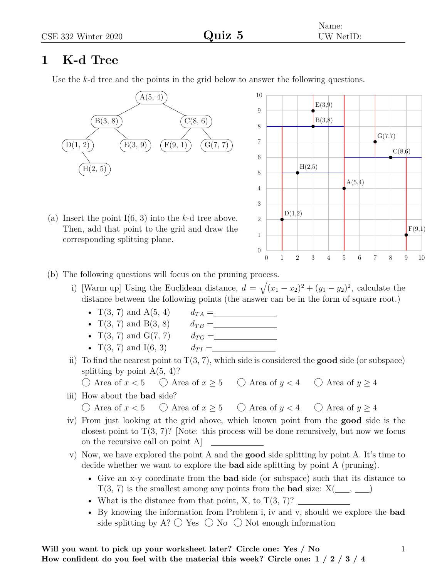## **1 K-d Tree**

Use the *k*-d tree and the points in the grid below to answer the following questions.



(a) Insert the point I(6, 3) into the *k*-d tree above. Then, add that point to the grid and draw the corresponding splitting plane.



- (b) The following questions will focus on the pruning process.
	- i) [Warm up] Using the Euclidean distance,  $d = \sqrt{(x_1 x_2)^2 + (y_1 y_2)^2}$ , calculate the distance between the following points (the answer can be in the form of square root.)
		-
		- $T(3, 7)$  and  $B(3, 8)$
		- T(3, 7) and A(5, 4)  $d_{TA} =$ <br>
		T(3, 7) and B(3, 8)  $d_{TB} =$ <br>
		T(3, 7) and G(7, 7)  $d_{TG} =$ •  $T(3, 7)$  and  $G(7, 7)$
		- $T(3, 7)$  and  $I(6, 3)$   $d_{TI} =$
	- ii) To find the nearest point to  $T(3, 7)$ , which side is considered the **good** side (or subspace) splitting by point  $A(5, 4)$ ?
		- $\bigcirc$  Area of  $x < 5$   $\bigcirc$  Area of  $x \ge 5$   $\bigcirc$  Area of  $y < 4$   $\bigcirc$  Area of  $y \ge 4$
	- iii) How about the **bad** side?

 $\bigcirc$  Area of  $x < 5$   $\bigcirc$  Area of  $x \ge 5$   $\bigcirc$  Area of  $y < 4$   $\bigcirc$  Area of  $y \ge 4$ 

- iv) From just looking at the grid above, which known point from the **good** side is the closest point to  $T(3, 7)$ ? [Note: this process will be done recursively, but now we focus on the recursive call on point A]
- v) Now, we have explored the point A and the **good** side splitting by point A. It's time to decide whether we want to explore the **bad** side splitting by point A (pruning).
	- Give an x-y coordinate from the **bad** side (or subspace) such that its distance to  $T(3, 7)$  is the smallest among any points from the **bad** size:  $X(\_\_\_\,,\_\_\_)$
	- What is the distance from that point, X, to  $T(3, 7)$ ?
	- By knowing the information from Problem i, iv and v, should we explore the **bad** side splitting by A?  $\bigcirc$  Yes  $\bigcirc$  No  $\bigcirc$  Not enough information